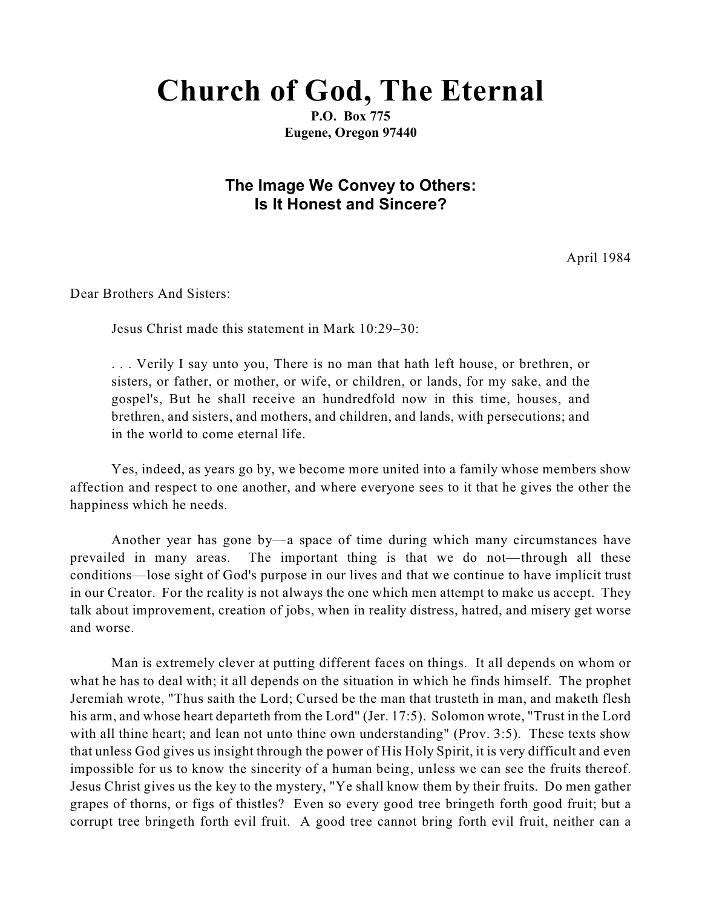## **Church of God, The Eternal**

**P.O. Box 775 Eugene, Oregon 97440**

## **The Image We Convey to Others: Is It Honest and Sincere?**

April 1984

Dear Brothers And Sisters:

Jesus Christ made this statement in Mark 10:29–30:

. . . Verily I say unto you, There is no man that hath left house, or brethren, or sisters, or father, or mother, or wife, or children, or lands, for my sake, and the gospel's, But he shall receive an hundredfold now in this time, houses, and brethren, and sisters, and mothers, and children, and lands, with persecutions; and in the world to come eternal life.

Yes, indeed, as years go by, we become more united into a family whose members show affection and respect to one another, and where everyone sees to it that he gives the other the happiness which he needs.

Another year has gone by—a space of time during which many circumstances have prevailed in many areas. The important thing is that we do not—through all these conditions—lose sight of God's purpose in our lives and that we continue to have implicit trust in our Creator. For the reality is not always the one which men attempt to make us accept. They talk about improvement, creation of jobs, when in reality distress, hatred, and misery get worse and worse.

Man is extremely clever at putting different faces on things. It all depends on whom or what he has to deal with; it all depends on the situation in which he finds himself. The prophet Jeremiah wrote, "Thus saith the Lord; Cursed be the man that trusteth in man, and maketh flesh his arm, and whose heart departeth from the Lord" (Jer. 17:5). Solomon wrote, "Trust in the Lord with all thine heart; and lean not unto thine own understanding" (Prov. 3:5). These texts show that unless God gives us insight through the power of His Holy Spirit, it is very difficult and even impossible for us to know the sincerity of a human being, unless we can see the fruits thereof. Jesus Christ gives us the key to the mystery, "Ye shall know them by their fruits. Do men gather grapes of thorns, or figs of thistles? Even so every good tree bringeth forth good fruit; but a corrupt tree bringeth forth evil fruit. A good tree cannot bring forth evil fruit, neither can a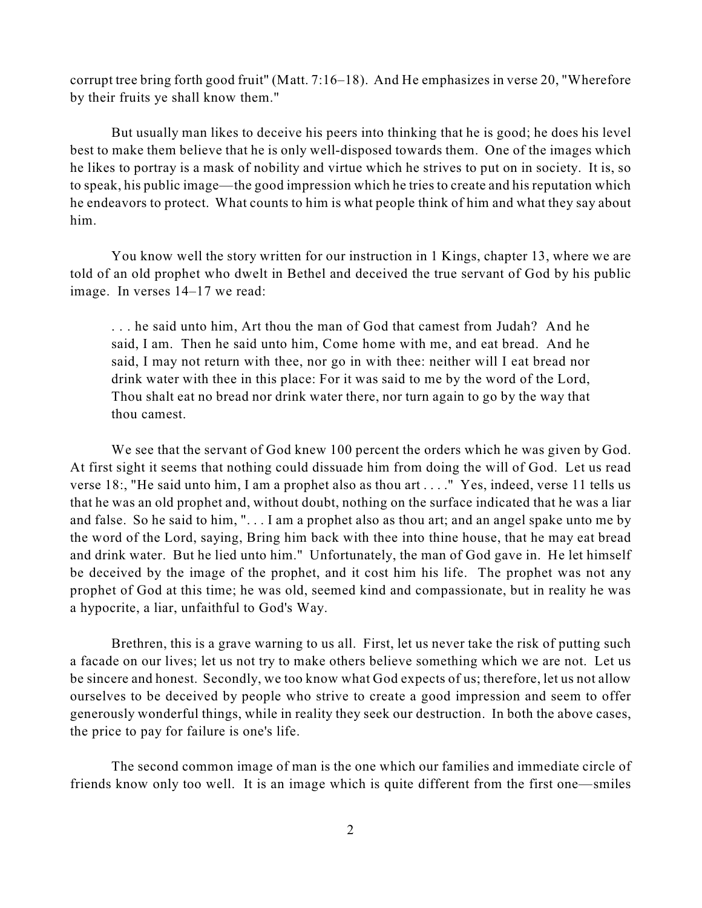corrupt tree bring forth good fruit" (Matt. 7:16–18). And He emphasizes in verse 20, "Wherefore by their fruits ye shall know them."

But usually man likes to deceive his peers into thinking that he is good; he does his level best to make them believe that he is only well-disposed towards them. One of the images which he likes to portray is a mask of nobility and virtue which he strives to put on in society. It is, so to speak, his public image—the good impression which he tries to create and his reputation which he endeavors to protect. What counts to him is what people think of him and what they say about him.

You know well the story written for our instruction in 1 Kings, chapter 13, where we are told of an old prophet who dwelt in Bethel and deceived the true servant of God by his public image. In verses 14–17 we read:

. . . he said unto him, Art thou the man of God that camest from Judah? And he said, I am. Then he said unto him, Come home with me, and eat bread. And he said, I may not return with thee, nor go in with thee: neither will I eat bread nor drink water with thee in this place: For it was said to me by the word of the Lord, Thou shalt eat no bread nor drink water there, nor turn again to go by the way that thou camest.

We see that the servant of God knew 100 percent the orders which he was given by God. At first sight it seems that nothing could dissuade him from doing the will of God. Let us read verse 18:, "He said unto him, I am a prophet also as thou art . . . ." Yes, indeed, verse 11 tells us that he was an old prophet and, without doubt, nothing on the surface indicated that he was a liar and false. So he said to him, ". . . I am a prophet also as thou art; and an angel spake unto me by the word of the Lord, saying, Bring him back with thee into thine house, that he may eat bread and drink water. But he lied unto him." Unfortunately, the man of God gave in. He let himself be deceived by the image of the prophet, and it cost him his life. The prophet was not any prophet of God at this time; he was old, seemed kind and compassionate, but in reality he was a hypocrite, a liar, unfaithful to God's Way.

Brethren, this is a grave warning to us all. First, let us never take the risk of putting such a facade on our lives; let us not try to make others believe something which we are not. Let us be sincere and honest. Secondly, we too know what God expects of us; therefore, let us not allow ourselves to be deceived by people who strive to create a good impression and seem to offer generously wonderful things, while in reality they seek our destruction. In both the above cases, the price to pay for failure is one's life.

The second common image of man is the one which our families and immediate circle of friends know only too well. It is an image which is quite different from the first one—smiles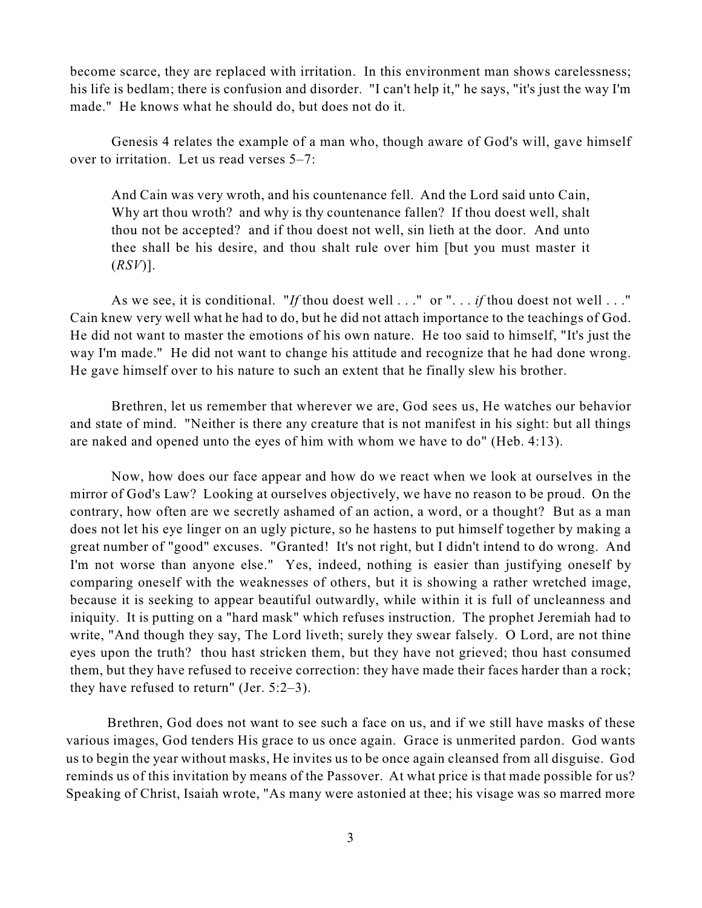become scarce, they are replaced with irritation. In this environment man shows carelessness; his life is bedlam; there is confusion and disorder. "I can't help it," he says, "it's just the way I'm made." He knows what he should do, but does not do it.

Genesis 4 relates the example of a man who, though aware of God's will, gave himself over to irritation. Let us read verses 5–7:

And Cain was very wroth, and his countenance fell. And the Lord said unto Cain, Why art thou wroth? and why is thy countenance fallen? If thou doest well, shalt thou not be accepted? and if thou doest not well, sin lieth at the door. And unto thee shall be his desire, and thou shalt rule over him [but you must master it (*RSV*)].

As we see, it is conditional. "*If* thou doest well . . ." or ". . . *if* thou doest not well . . ." Cain knew very well what he had to do, but he did not attach importance to the teachings of God. He did not want to master the emotions of his own nature. He too said to himself, "It's just the way I'm made." He did not want to change his attitude and recognize that he had done wrong. He gave himself over to his nature to such an extent that he finally slew his brother.

Brethren, let us remember that wherever we are, God sees us, He watches our behavior and state of mind. "Neither is there any creature that is not manifest in his sight: but all things are naked and opened unto the eyes of him with whom we have to do" (Heb. 4:13).

Now, how does our face appear and how do we react when we look at ourselves in the mirror of God's Law? Looking at ourselves objectively, we have no reason to be proud. On the contrary, how often are we secretly ashamed of an action, a word, or a thought? But as a man does not let his eye linger on an ugly picture, so he hastens to put himself together by making a great number of "good" excuses. "Granted! It's not right, but I didn't intend to do wrong. And I'm not worse than anyone else." Yes, indeed, nothing is easier than justifying oneself by comparing oneself with the weaknesses of others, but it is showing a rather wretched image, because it is seeking to appear beautiful outwardly, while within it is full of uncleanness and iniquity. It is putting on a "hard mask" which refuses instruction. The prophet Jeremiah had to write, "And though they say, The Lord liveth; surely they swear falsely. O Lord, are not thine eyes upon the truth? thou hast stricken them, but they have not grieved; thou hast consumed them, but they have refused to receive correction: they have made their faces harder than a rock; they have refused to return" (Jer. 5:2–3).

Brethren, God does not want to see such a face on us, and if we still have masks of these various images, God tenders His grace to us once again. Grace is unmerited pardon. God wants us to begin the year without masks, He invites us to be once again cleansed from all disguise. God reminds us of this invitation by means of the Passover. At what price is that made possible for us? Speaking of Christ, Isaiah wrote, "As many were astonied at thee; his visage was so marred more